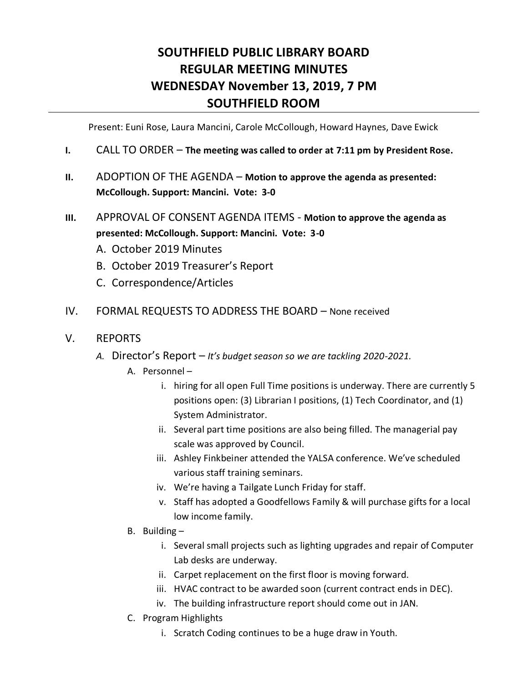## **SOUTHFIELD PUBLIC LIBRARY BOARD REGULAR MEETING MINUTES WEDNESDAY November 13, 2019, 7 PM SOUTHFIELD ROOM**

Present: Euni Rose, Laura Mancini, Carole McCollough, Howard Haynes, Dave Ewick

- **I.** CALL TO ORDER **The meeting was called to order at 7:11 pm by President Rose.**
- **II.** ADOPTION OF THE AGENDA **Motion to approve the agenda as presented: McCollough. Support: Mancini. Vote: 3-0**
- **III.** APPROVAL OF CONSENT AGENDA ITEMS **Motion to approve the agenda as presented: McCollough. Support: Mancini. Vote: 3-0**
	- A. October 2019 Minutes
	- B. October 2019 Treasurer's Report
	- C. Correspondence/Articles
- IV. FORMAL REQUESTS TO ADDRESS THE BOARD None received
- V. REPORTS
	- *A.* Director's Report *It's budget season so we are tackling 2020-2021.*
		- A. Personnel
			- i. hiring for all open Full Time positions is underway. There are currently 5 positions open: (3) Librarian I positions, (1) Tech Coordinator, and (1) System Administrator.
			- ii. Several part time positions are also being filled. The managerial pay scale was approved by Council.
			- iii. Ashley Finkbeiner attended the YALSA conference. We've scheduled various staff training seminars.
			- iv. We're having a Tailgate Lunch Friday for staff.
			- v. Staff has adopted a Goodfellows Family & will purchase gifts for a local low income family.
		- B. Building
			- i. Several small projects such as lighting upgrades and repair of Computer Lab desks are underway.
			- ii. Carpet replacement on the first floor is moving forward.
			- iii. HVAC contract to be awarded soon (current contract ends in DEC).
			- iv. The building infrastructure report should come out in JAN.
		- C. Program Highlights
			- i. Scratch Coding continues to be a huge draw in Youth.